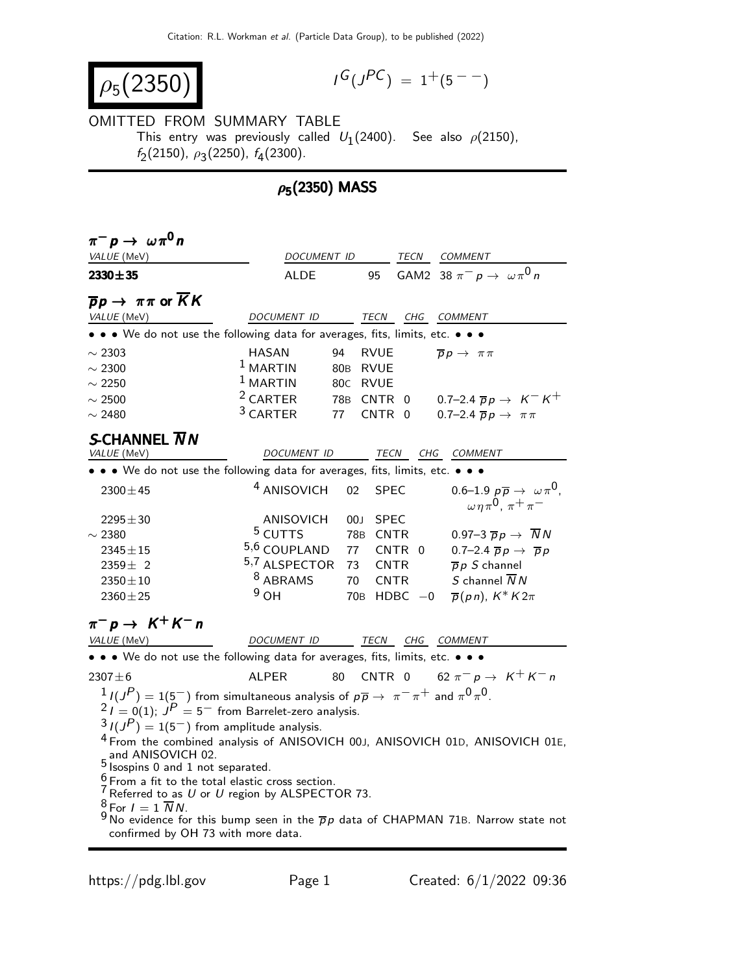$$
\rho_5(2350)
$$

$$
I^G(J^{PC}) = 1^+(5^{--})
$$

## OMITTED FROM SUMMARY TABLE This entry was previously called  $U_1(2400)$ . See also  $\rho(2150)$ ,  $f_2(2150), \rho_3(2250), f_4(2300).$

## $\rho_5(2350)$  MASS

| $\pi^- p \to \omega \pi^0 n$                                                                                                                 |                           |                                |                                                                                           |  |
|----------------------------------------------------------------------------------------------------------------------------------------------|---------------------------|--------------------------------|-------------------------------------------------------------------------------------------|--|
| VALUE (MeV)                                                                                                                                  | DOCUMENT ID               |                                | TECN COMMENT                                                                              |  |
| $2330 + 35$                                                                                                                                  | ALDE                      | 95                             | GAM2 38 $\pi^- p \rightarrow \omega \pi^0 n$                                              |  |
| $\overline{p}p \rightarrow \pi\pi$ or $\overline{K}K$                                                                                        |                           |                                |                                                                                           |  |
| VALUE (MeV)                                                                                                                                  | DOCUMENT ID               | TECN<br>CHG                    | <b>COMMENT</b>                                                                            |  |
| • • • We do not use the following data for averages, fits, limits, etc. •                                                                    |                           |                                |                                                                                           |  |
| $\sim$ 2303                                                                                                                                  | HASAN<br>94               | <b>RVUE</b>                    | $\overline{p}p \rightarrow \pi\pi$                                                        |  |
| $\sim$ 2300                                                                                                                                  | $1$ MARTIN<br>80B         | <b>RVUE</b>                    |                                                                                           |  |
| $\sim$ 2250                                                                                                                                  | $1$ MARTIN                | 80C RVUE                       |                                                                                           |  |
| $\sim$ 2500                                                                                                                                  | <sup>2</sup> CARTER       | 78B CNTR<br>$\overline{0}$     | 0.7–2.4 $\bar{p}p \to K^- K^+$                                                            |  |
| $\sim$ 2480                                                                                                                                  | <sup>3</sup> CARTER<br>77 | <b>CNTR</b><br>- 0             | 0.7-2.4 $\overline{p}p \rightarrow \pi \pi$                                               |  |
|                                                                                                                                              |                           |                                |                                                                                           |  |
| S-CHANNEL $\overline{N}N$                                                                                                                    |                           |                                |                                                                                           |  |
| VALUE (MeV)                                                                                                                                  | DOCUMENT ID               | TECN CHG COMMENT               |                                                                                           |  |
| • • • We do not use the following data for averages, fits, limits, etc. • • •                                                                |                           |                                |                                                                                           |  |
| $2300 \pm 45$                                                                                                                                | <sup>4</sup> ANISOVICH    | <b>SPEC</b><br>02              | 0.6–1.9 $p\overline{p} \rightarrow \omega \pi^0$ ,<br>$\omega \eta \pi^0$ , $\pi^+ \pi^-$ |  |
| $2295 \pm 30$                                                                                                                                | ANISOVICH                 | <b>SPEC</b><br>00 <sub>1</sub> |                                                                                           |  |
| $\sim$ 2380                                                                                                                                  | <sup>5</sup> CUTTS        | 78B<br><b>CNTR</b>             | 0.97-3 $\overline{p}p \rightarrow \overline{N}N$                                          |  |
| $2345 \pm 15$                                                                                                                                | 5,6 COUPLAND              | 77<br>CNTR 0                   | 0.7-2.4 $\overline{p}p \rightarrow \overline{p}p$                                         |  |
| $2359 \pm 2$                                                                                                                                 | 5,7 ALSPECTOR             | 73<br><b>CNTR</b>              | $\overline{p} p S$ channel                                                                |  |
| $2350 \pm 10$                                                                                                                                | <sup>8</sup> ABRAMS       | 70<br><b>CNTR</b>              | S channel $\overline{N}N$                                                                 |  |
| $2360 + 25$                                                                                                                                  | $9O$ H                    | $70B$ HDBC $-0$                | $\overline{p}(pn)$ , $K^* K 2\pi$                                                         |  |
| $\pi^-$ p $\rightarrow$ K <sup>+</sup> K <sup>-</sup> n                                                                                      |                           |                                |                                                                                           |  |
| VALUE (MeV)                                                                                                                                  | DOCUMENT ID               | TECN CHG_COMMENT               |                                                                                           |  |
| • • • We do not use the following data for averages, fits, limits, etc. • • •                                                                |                           |                                |                                                                                           |  |
| $2307 + 6$                                                                                                                                   | <b>ALPER</b><br>80        | CNTR 0                         | 62 $\pi^- p \to K^+ K^- n$                                                                |  |
| $1/(J^P) = 1(5^-)$ from simultaneous analysis of $p\overline{p} \rightarrow \pi^- \pi^+$ and $\pi^0 \pi^0$ .                                 |                           |                                |                                                                                           |  |
| $2I = 0(1)$ ; $JP = 5$ from Barrelet-zero analysis.                                                                                          |                           |                                |                                                                                           |  |
| $3I(J^P)=1(5^-)$ from amplitude analysis.                                                                                                    |                           |                                |                                                                                           |  |
| <sup>4</sup> From the combined analysis of ANISOVICH 00J, ANISOVICH 01D, ANISOVICH 01E,                                                      |                           |                                |                                                                                           |  |
| and ANISOVICH 02.                                                                                                                            |                           |                                |                                                                                           |  |
| $5$ sospins 0 and 1 not separated.                                                                                                           |                           |                                |                                                                                           |  |
| $6$ From a fit to the total elastic cross section.                                                                                           |                           |                                |                                                                                           |  |
| $7$ Referred to as U or U region by ALSPECTOR 73.                                                                                            |                           |                                |                                                                                           |  |
| $8$ For $I = 1 \overline{N} N$ .<br><sup>9</sup> No evidence for this bump seen in the $\overline{p}p$ data of CHAPMAN 71B. Narrow state not |                           |                                |                                                                                           |  |
| confirmed by OH 73 with more data.                                                                                                           |                           |                                |                                                                                           |  |
|                                                                                                                                              |                           |                                |                                                                                           |  |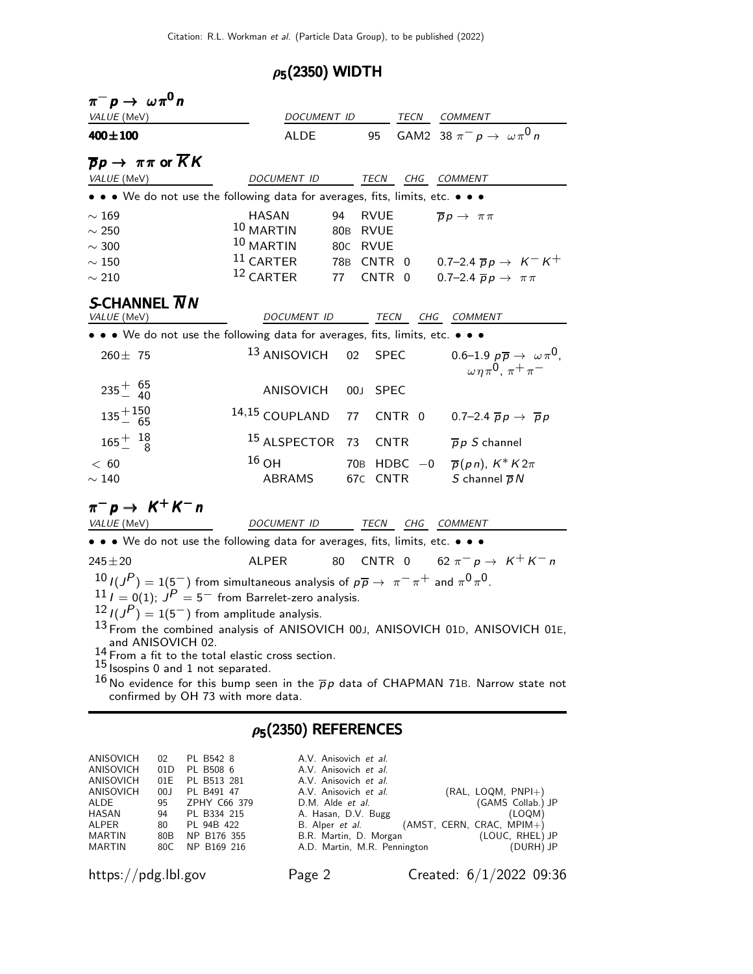## $\rho_5(2350)$  WIDTH

| $\pi^- p \to \omega \pi^0 n$                                                                                     |                               |             |             |                                                                                           |
|------------------------------------------------------------------------------------------------------------------|-------------------------------|-------------|-------------|-------------------------------------------------------------------------------------------|
| VALUE (MeV)                                                                                                      | DOCUMENT ID TECN COMMENT      |             |             |                                                                                           |
| $400 \pm 100$                                                                                                    | <b>ALDE</b>                   | 95          |             | GAM2 38 $\pi^- p \rightarrow \omega \pi^0 n$                                              |
| $\overline{p}p \rightarrow \pi\pi$ or $KK$                                                                       |                               |             |             |                                                                                           |
| VALUE (MeV)                                                                                                      | DOCUMENT ID                   | TECN        |             | CHG COMMENT                                                                               |
| • • • We do not use the following data for averages, fits, limits, etc. • • •                                    |                               |             |             |                                                                                           |
| $\sim 169$                                                                                                       | HASAN<br>94                   | <b>RVUE</b> |             | $\overline{p}p \rightarrow \pi\pi$                                                        |
| $\sim 250$                                                                                                       | 10 MARTIN                     | 80B RVUE    |             |                                                                                           |
| $\sim$ 300                                                                                                       | 10 MARTIN                     | 80c RVUE    |             |                                                                                           |
| $\sim 150$                                                                                                       | $11$ CARTER                   |             |             | 78B CNTR 0 0.7-2.4 $\overline{p}p \rightarrow K^-K^+$                                     |
| $\sim 210$                                                                                                       | $12$ CARTER                   | 77 CNTR 0   |             | 0.7–2.4 $\overline{p}p \rightarrow \pi \pi$                                               |
| S-CHANNEL $\overline{N}N$                                                                                        |                               |             |             |                                                                                           |
| VALUE (MeV)                                                                                                      | DOCUMENT ID                   |             |             | TECN CHG COMMENT                                                                          |
| • • • We do not use the following data for averages, fits, limits, etc. • • •                                    |                               |             |             |                                                                                           |
| $260 \pm 75$                                                                                                     | <sup>13</sup> ANISOVICH<br>02 |             | <b>SPEC</b> | 0.6–1.9 $p\overline{p} \rightarrow \omega \pi^0$ ,<br>$\omega \eta \pi^0$ , $\pi^+ \pi^-$ |
| $235^{+}_{-}$ $\frac{65}{40}$                                                                                    | ANISOVICH                     | 00J SPEC    |             |                                                                                           |
| $135 + 150$                                                                                                      | 14,15 COUPLAND<br>77          |             |             | CNTR 0 0.7-2.4 $\overline{p}p \rightarrow \overline{p}p$                                  |
| $165^{+}_{-}$ $^{18}_{8}$                                                                                        | <sup>15</sup> ALSPECTOR 73    | <b>CNTR</b> |             | $\overline{p} p S$ channel                                                                |
| < 60                                                                                                             | $16$ OH                       |             |             | 70B HDBC $-0$ $\overline{p}(pn)$ , $K^*K2\pi$                                             |
| $\sim$ 140                                                                                                       | ABRAMS                        | 67C CNTR    |             | S channel $\overline{p}N$                                                                 |
| $\pi^-$ p $\rightarrow$ K <sup>+</sup> K <sup>-</sup> n                                                          |                               |             |             |                                                                                           |
| VALUE (MeV)                                                                                                      | DOCUMENT ID TECN CHG COMMENT  |             |             |                                                                                           |
| • • • We do not use the following data for averages, fits, limits, etc. • • •                                    |                               |             |             |                                                                                           |
| $245 \pm 20$                                                                                                     | 80<br>ALPER                   |             |             | CNTR 0 62 $\pi^- p \rightarrow K^+ K^- n$                                                 |
| $10$ $I(J^P) = 1(5^-)$ from simultaneous analysis of $p\overline{p} \rightarrow \pi^- \pi^+$ and $\pi^0 \pi^0$ . |                               |             |             |                                                                                           |
| $11$ $I = 0(1)$ ; $JP = 5$ from Barrelet-zero analysis.                                                          |                               |             |             |                                                                                           |
| $12 I(JP) = 1(5^-)$ from amplitude analysis.                                                                     |                               |             |             |                                                                                           |
| <sup>13</sup> From the combined analysis of ANISOVICH 00J, ANISOVICH 01D, ANISOVICH 01E,                         |                               |             |             |                                                                                           |
| and ANISOVICH 02.                                                                                                |                               |             |             |                                                                                           |
| $14$ From a fit to the total elastic cross section.<br>$15$ Isospins 0 and 1 not separated.                      |                               |             |             |                                                                                           |
| $^{16}$ No evidence for this bump seen in the $\overline{p}p$ data of CHAPMAN 71B. Narrow state not              |                               |             |             |                                                                                           |
| confirmed by OH 73 with more data.                                                                               |                               |             |             |                                                                                           |
|                                                                                                                  |                               |             |             |                                                                                           |
|                                                                                                                  | $\rho_5(2350)$ REFERENCES     |             |             |                                                                                           |

| ANISOVICH        | 02 <sup>2</sup> | PL B542 8    | A.V. Anisovich et al.        |                             |
|------------------|-----------------|--------------|------------------------------|-----------------------------|
| <b>ANISOVICH</b> | 01D             | PL B508 6    | A.V. Anisovich et al.        |                             |
| ANISOVICH        | 01E             | PL B513 281  | A.V. Anisovich et al.        |                             |
| ANISOVICH        | 00J             | PL B491 47   | A.V. Anisovich et al.        | $(RAL, LOGM, PNPI+)$        |
| ALDE             | 95              | ZPHY C66 379 | D.M. Alde <i>et al.</i>      | (GAMS Collab.) JP           |
| HASAN            | 94              | PL B334 215  | A. Hasan, D.V. Bugg          | (LOQM)                      |
| <b>ALPER</b>     | 80              | PL 94B 422   | B. Alper <i>et al.</i>       | $(AMST, CERN, CRAC, MPIM+)$ |
| <b>MARTIN</b>    | 80B             | NP B176 355  | B.R. Martin, D. Morgan       | (LOUC, RHEL) JP             |
| <b>MARTIN</b>    | 80C.            | NP B169 216  | A.D. Martin, M.R. Pennington | (DURH) JP                   |
|                  |                 |              |                              |                             |